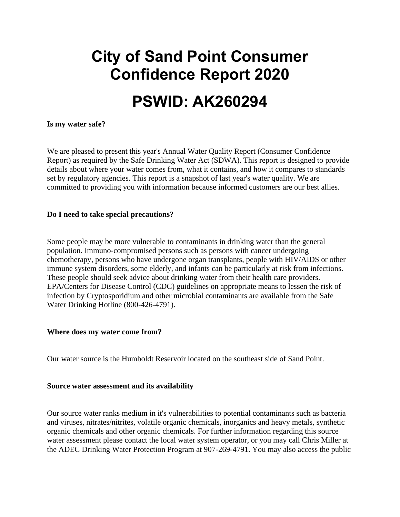# **City of Sand Point Consumer Confidence Report 2020**

## **PSWID: AK260294**

#### **Is my water safe?**

We are pleased to present this year's Annual Water Quality Report (Consumer Confidence Report) as required by the Safe Drinking Water Act (SDWA). This report is designed to provide details about where your water comes from, what it contains, and how it compares to standards set by regulatory agencies. This report is a snapshot of last year's water quality. We are committed to providing you with information because informed customers are our best allies.

#### **Do I need to take special precautions?**

Some people may be more vulnerable to contaminants in drinking water than the general population. Immuno-compromised persons such as persons with cancer undergoing chemotherapy, persons who have undergone organ transplants, people with HIV/AIDS or other immune system disorders, some elderly, and infants can be particularly at risk from infections. These people should seek advice about drinking water from their health care providers. EPA/Centers for Disease Control (CDC) guidelines on appropriate means to lessen the risk of infection by Cryptosporidium and other microbial contaminants are available from the Safe Water Drinking Hotline (800-426-4791).

#### **Where does my water come from?**

Our water source is the Humboldt Reservoir located on the southeast side of Sand Point.

#### **Source water assessment and its availability**

Our source water ranks medium in it's vulnerabilities to potential contaminants such as bacteria and viruses, nitrates/nitrites, volatile organic chemicals, inorganics and heavy metals, synthetic organic chemicals and other organic chemicals. For further information regarding this source water assessment please contact the local water system operator, or you may call Chris Miller at the ADEC Drinking Water Protection Program at 907-269-4791. You may also access the public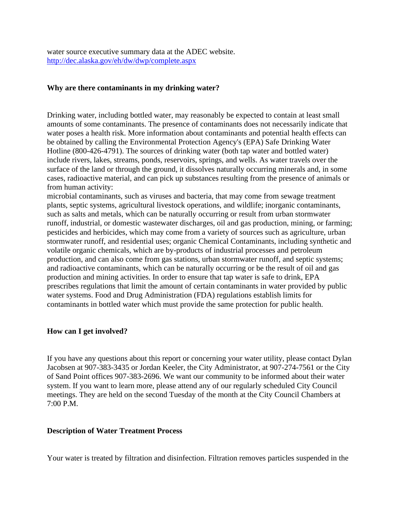water source executive summary data at the ADEC website. <http://dec.alaska.gov/eh/dw/dwp/complete.aspx>

#### **Why are there contaminants in my drinking water?**

Drinking water, including bottled water, may reasonably be expected to contain at least small amounts of some contaminants. The presence of contaminants does not necessarily indicate that water poses a health risk. More information about contaminants and potential health effects can be obtained by calling the Environmental Protection Agency's (EPA) Safe Drinking Water Hotline (800-426-4791). The sources of drinking water (both tap water and bottled water) include rivers, lakes, streams, ponds, reservoirs, springs, and wells. As water travels over the surface of the land or through the ground, it dissolves naturally occurring minerals and, in some cases, radioactive material, and can pick up substances resulting from the presence of animals or from human activity:

microbial contaminants, such as viruses and bacteria, that may come from sewage treatment plants, septic systems, agricultural livestock operations, and wildlife; inorganic contaminants, such as salts and metals, which can be naturally occurring or result from urban stormwater runoff, industrial, or domestic wastewater discharges, oil and gas production, mining, or farming; pesticides and herbicides, which may come from a variety of sources such as agriculture, urban stormwater runoff, and residential uses; organic Chemical Contaminants, including synthetic and volatile organic chemicals, which are by-products of industrial processes and petroleum production, and can also come from gas stations, urban stormwater runoff, and septic systems; and radioactive contaminants, which can be naturally occurring or be the result of oil and gas production and mining activities. In order to ensure that tap water is safe to drink, EPA prescribes regulations that limit the amount of certain contaminants in water provided by public water systems. Food and Drug Administration (FDA) regulations establish limits for contaminants in bottled water which must provide the same protection for public health.

#### **How can I get involved?**

If you have any questions about this report or concerning your water utility, please contact Dylan Jacobsen at 907-383-3435 or Jordan Keeler, the City Administrator, at 907-274-7561 or the City of Sand Point offices 907-383-2696. We want our community to be informed about their water system. If you want to learn more, please attend any of our regularly scheduled City Council meetings. They are held on the second Tuesday of the month at the City Council Chambers at 7:00 P.M.

#### **Description of Water Treatment Process**

Your water is treated by filtration and disinfection. Filtration removes particles suspended in the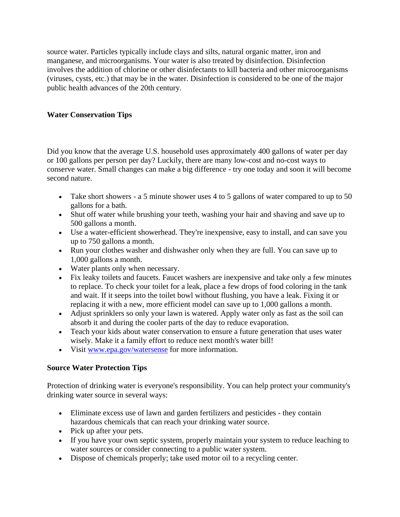source water. Particles typically include clays and silts, natural organic matter, iron and manganese, and microorganisms. Your water is also treated by disinfection. Disinfection involves the addition of chlorine or other disinfectants to kill bacteria and other microorganisms (viruses, cysts, etc.) that may be in the water. Disinfection is considered to be one of the major public health advances of the 20th century.

#### **Water Conservation Tips**

Did you know that the average U.S. household uses approximately 400 gallons of water per day or 100 gallons per person per day? Luckily, there are many low-cost and no-cost ways to conserve water. Small changes can make a big difference - try one today and soon it will become second nature.

- Take short showers a 5 minute shower uses 4 to 5 gallons of water compared to up to 50 gallons for a bath.
- Shut off water while brushing your teeth, washing your hair and shaving and save up to 500 gallons a month.
- Use a water-efficient showerhead. They're inexpensive, easy to install, and can save you up to 750 gallons a month.
- Run your clothes washer and dishwasher only when they are full. You can save up to 1,000 gallons a month.
- Water plants only when necessary.
- Fix leaky toilets and faucets. Faucet washers are inexpensive and take only a few minutes to replace. To check your toilet for a leak, place a few drops of food coloring in the tank and wait. If it seeps into the toilet bowl without flushing, you have a leak. Fixing it or replacing it with a new, more efficient model can save up to 1,000 gallons a month.
- Adjust sprinklers so only your lawn is watered. Apply water only as fast as the soil can absorb it and during the cooler parts of the day to reduce evaporation.
- Teach your kids about water conservation to ensure a future generation that uses water wisely. Make it a family effort to reduce next month's water bill!
- Visit [www.epa.gov/watersense](http://www.epa.gov/watersense) for more information.

#### **Source Water Protection Tips**

Protection of drinking water is everyone's responsibility. You can help protect your community's drinking water source in several ways:

- Eliminate excess use of lawn and garden fertilizers and pesticides they contain hazardous chemicals that can reach your drinking water source.
- Pick up after your pets.
- If you have your own septic system, properly maintain your system to reduce leaching to water sources or consider connecting to a public water system.
- Dispose of chemicals properly; take used motor oil to a recycling center.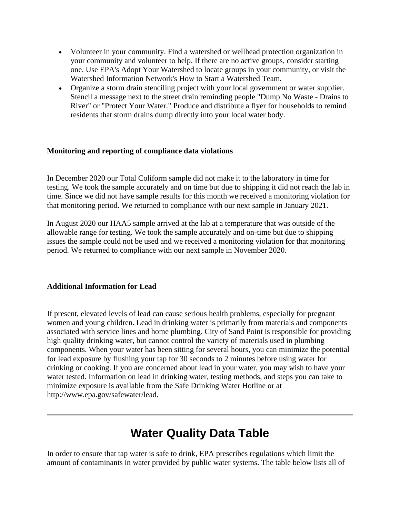- Volunteer in your community. Find a watershed or wellhead protection organization in your community and volunteer to help. If there are no active groups, consider starting one. Use EPA's Adopt Your Watershed to locate groups in your community, or visit the Watershed Information Network's How to Start a Watershed Team.
- Organize a storm drain stenciling project with your local government or water supplier. Stencil a message next to the street drain reminding people "Dump No Waste - Drains to River" or "Protect Your Water." Produce and distribute a flyer for households to remind residents that storm drains dump directly into your local water body.

#### **Monitoring and reporting of compliance data violations**

In December 2020 our Total Coliform sample did not make it to the laboratory in time for testing. We took the sample accurately and on time but due to shipping it did not reach the lab in time. Since we did not have sample results for this month we received a monitoring violation for that monitoring period. We returned to compliance with our next sample in January 2021.

In August 2020 our HAA5 sample arrived at the lab at a temperature that was outside of the allowable range for testing. We took the sample accurately and on-time but due to shipping issues the sample could not be used and we received a monitoring violation for that monitoring period. We returned to compliance with our next sample in November 2020.

#### **Additional Information for Lead**

If present, elevated levels of lead can cause serious health problems, especially for pregnant women and young children. Lead in drinking water is primarily from materials and components associated with service lines and home plumbing. City of Sand Point is responsible for providing high quality drinking water, but cannot control the variety of materials used in plumbing components. When your water has been sitting for several hours, you can minimize the potential for lead exposure by flushing your tap for 30 seconds to 2 minutes before using water for drinking or cooking. If you are concerned about lead in your water, you may wish to have your water tested. Information on lead in drinking water, testing methods, and steps you can take to minimize exposure is available from the Safe Drinking Water Hotline or at http://www.epa.gov/safewater/lead.

### **Water Quality Data Table**

In order to ensure that tap water is safe to drink, EPA prescribes regulations which limit the amount of contaminants in water provided by public water systems. The table below lists all of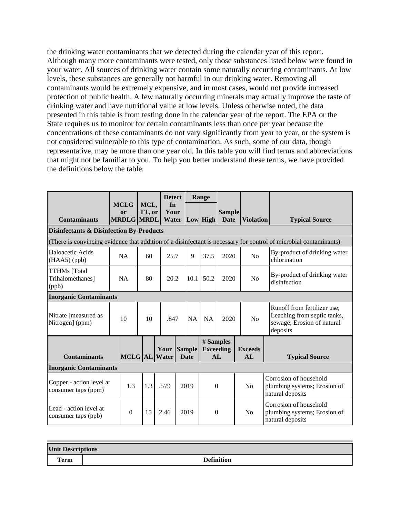the drinking water contaminants that we detected during the calendar year of this report. Although many more contaminants were tested, only those substances listed below were found in your water. All sources of drinking water contain some naturally occurring contaminants. At low levels, these substances are generally not harmful in our drinking water. Removing all contaminants would be extremely expensive, and in most cases, would not provide increased protection of public health. A few naturally occurring minerals may actually improve the taste of drinking water and have nutritional value at low levels. Unless otherwise noted, the data presented in this table is from testing done in the calendar year of the report. The EPA or the State requires us to monitor for certain contaminants less than once per year because the concentrations of these contaminants do not vary significantly from year to year, or the system is not considered vulnerable to this type of contamination. As such, some of our data, though representative, may be more than one year old. In this table you will find terms and abbreviations that might not be familiar to you. To help you better understand these terms, we have provided the definitions below the table.

|                                                                                                                   | <b>MCLG</b> |                         |                | <b>Detect</b>         |                              | Range |                                      |                              |                                                                                                      |                                                                            |
|-------------------------------------------------------------------------------------------------------------------|-------------|-------------------------|----------------|-----------------------|------------------------------|-------|--------------------------------------|------------------------------|------------------------------------------------------------------------------------------------------|----------------------------------------------------------------------------|
| <b>Contaminants</b>                                                                                               |             | or<br><b>MRDLG MRDL</b> | MCL,<br>TT, or | In<br>Your<br>Water   |                              |       | Low High                             | <b>Sample</b><br><b>Date</b> | <b>Violation</b>                                                                                     | <b>Typical Source</b>                                                      |
| <b>Disinfectants &amp; Disinfection By-Products</b>                                                               |             |                         |                |                       |                              |       |                                      |                              |                                                                                                      |                                                                            |
| (There is convincing evidence that addition of a disinfectant is necessary for control of microbial contaminants) |             |                         |                |                       |                              |       |                                      |                              |                                                                                                      |                                                                            |
| Haloacetic Acids<br>$(HAA5)$ (ppb)                                                                                |             | <b>NA</b>               | 60             | 25.7                  | 9                            |       | 37.5                                 | 2020                         | No                                                                                                   | By-product of drinking water<br>chlorination                               |
| <b>TTHMs</b> [Total<br>Trihalomethanes]<br>(ppb)                                                                  |             | <b>NA</b>               | 80             | 20.2                  | 10.1                         |       | 50.2                                 | 2020                         | N <sub>o</sub>                                                                                       | By-product of drinking water<br>disinfection                               |
| <b>Inorganic Contaminants</b>                                                                                     |             |                         |                |                       |                              |       |                                      |                              |                                                                                                      |                                                                            |
| Nitrate [measured as<br>10<br>Nitrogen] (ppm)                                                                     |             | 10                      | .847           |                       | <b>NA</b>                    | NA    | 2020                                 | No                           | Runoff from fertilizer use;<br>Leaching from septic tanks,<br>sewage; Erosion of natural<br>deposits |                                                                            |
| <b>Contaminants</b><br><b>Inorganic Contaminants</b>                                                              |             |                         |                | Your<br>MCLG AL Water | <b>Sample</b><br><b>Date</b> |       | # Samples<br><b>Exceeding</b><br>AI. |                              | <b>Exceeds</b><br>AI.                                                                                | <b>Typical Source</b>                                                      |
| Copper - action level at<br>consumer taps (ppm)                                                                   |             | 1.3                     | 1.3            | .579                  | 2019                         |       | $\boldsymbol{0}$                     |                              | No                                                                                                   | Corrosion of household<br>plumbing systems; Erosion of<br>natural deposits |
| Lead - action level at<br>consumer taps (ppb)                                                                     |             | $\theta$                | 15             | 2.46                  | 2019                         |       | $\theta$                             |                              | No                                                                                                   | Corrosion of household<br>plumbing systems; Erosion of<br>natural deposits |

| <b>Unit Descriptions</b> |                   |  |  |  |  |  |
|--------------------------|-------------------|--|--|--|--|--|
| Term                     | <b>Definition</b> |  |  |  |  |  |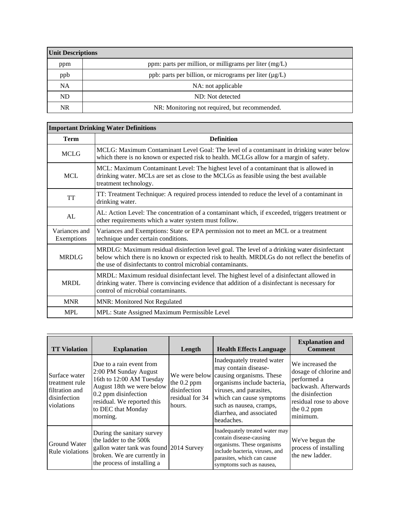| <b>Unit Descriptions</b> |                                                             |  |  |  |  |
|--------------------------|-------------------------------------------------------------|--|--|--|--|
| ppm                      | ppm: parts per million, or milligrams per liter (mg/L)      |  |  |  |  |
| ppb                      | ppb: parts per billion, or micrograms per liter $(\mu g/L)$ |  |  |  |  |
| <b>NA</b>                | NA: not applicable                                          |  |  |  |  |
| ND.                      | ND: Not detected                                            |  |  |  |  |
| <b>NR</b>                | NR: Monitoring not required, but recommended.               |  |  |  |  |

 $\overline{\phantom{0}}$ 

| <b>Important Drinking Water Definitions</b> |                                                                                                                                                                                                                                                               |  |  |  |  |  |
|---------------------------------------------|---------------------------------------------------------------------------------------------------------------------------------------------------------------------------------------------------------------------------------------------------------------|--|--|--|--|--|
| <b>Term</b>                                 | <b>Definition</b>                                                                                                                                                                                                                                             |  |  |  |  |  |
| <b>MCLG</b>                                 | MCLG: Maximum Contaminant Level Goal: The level of a contaminant in drinking water below<br>which there is no known or expected risk to health. MCLGs allow for a margin of safety.                                                                           |  |  |  |  |  |
| <b>MCL</b>                                  | MCL: Maximum Contaminant Level: The highest level of a contaminant that is allowed in<br>drinking water. MCLs are set as close to the MCLGs as feasible using the best available<br>treatment technology.                                                     |  |  |  |  |  |
| <b>TT</b>                                   | TT: Treatment Technique: A required process intended to reduce the level of a contaminant in<br>drinking water.                                                                                                                                               |  |  |  |  |  |
| AL                                          | AL: Action Level: The concentration of a contaminant which, if exceeded, triggers treatment or<br>other requirements which a water system must follow.                                                                                                        |  |  |  |  |  |
| Variances and<br>Exemptions                 | Variances and Exemptions: State or EPA permission not to meet an MCL or a treatment<br>technique under certain conditions.                                                                                                                                    |  |  |  |  |  |
| <b>MRDLG</b>                                | MRDLG: Maximum residual disinfection level goal. The level of a drinking water disinfectant<br>below which there is no known or expected risk to health. MRDLGs do not reflect the benefits of<br>the use of disinfectants to control microbial contaminants. |  |  |  |  |  |
| <b>MRDL</b>                                 | MRDL: Maximum residual disinfectant level. The highest level of a disinfectant allowed in<br>drinking water. There is convincing evidence that addition of a disinfectant is necessary for<br>control of microbial contaminants.                              |  |  |  |  |  |
| <b>MNR</b>                                  | <b>MNR: Monitored Not Regulated</b>                                                                                                                                                                                                                           |  |  |  |  |  |
| <b>MPL</b>                                  | MPL: State Assigned Maximum Permissible Level                                                                                                                                                                                                                 |  |  |  |  |  |

| <b>TT Violation</b>                                                             | <b>Explanation</b>                                                                                                                                                                                 | Length                                                                    | <b>Health Effects Language</b>                                                                                                                                                                                                            | <b>Explanation and</b><br><b>Comment</b>                                                                                                                     |
|---------------------------------------------------------------------------------|----------------------------------------------------------------------------------------------------------------------------------------------------------------------------------------------------|---------------------------------------------------------------------------|-------------------------------------------------------------------------------------------------------------------------------------------------------------------------------------------------------------------------------------------|--------------------------------------------------------------------------------------------------------------------------------------------------------------|
| Surface water<br>treatment rule<br>filtration and<br>disinfection<br>violations | Due to a rain event from<br>2:00 PM Sunday August<br>16th to 12:00 AM Tuesday<br>August 18th we were below<br>0.2 ppm disinfection<br>residual. We reported this<br>to DEC that Monday<br>morning. | We were below<br>the 0.2 ppm<br>disinfection<br>residual for 34<br>hours. | Inadequately treated water<br>may contain disease-<br>causing organisms. These<br>organisms include bacteria,<br>viruses, and parasites,<br>which can cause symptoms<br>such as nausea, cramps,<br>diarrhea, and associated<br>headaches. | We increased the<br>dosage of chlorine and<br>performed a<br>backwash. Afterwards<br>the disinfection<br>residual rose to above<br>the $0.2$ ppm<br>minimum. |
| Ground Water<br>Rule violations                                                 | During the sanitary survey<br>the ladder to the 500k<br>gallon water tank was found 2014 Survey<br>broken. We are currently in<br>the process of installing a                                      |                                                                           | Inadequately treated water may<br>contain disease-causing<br>organisms. These organisms<br>include bacteria, viruses, and<br>parasites, which can cause<br>symptoms such as nausea,                                                       | We've begun the<br>process of installing<br>the new ladder.                                                                                                  |